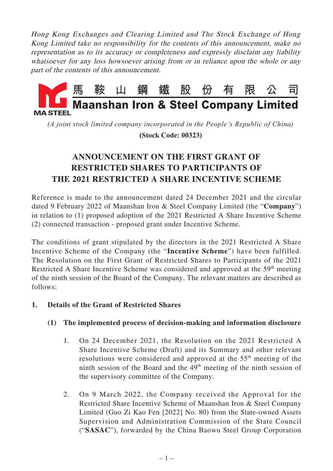Hong Kong Exchanges and Clearing Limited and The Stock Exchange of Hong Kong Limited take no responsibility for the contents of this announcement, make no representation as to its accuracy or completeness and expressly disclaim any liability whatsoever for any loss howsoever arising from or in reliance upon the whole or any part of the contents of this announcement.



*(A joint stock limited company incorporated in the People's Republic of China)*

 **(Stock Code: 00323)**

# **ANNOUNCEMENT ON THE FIRST GRANT OF RESTRICTED SHARES TO PARTICIPANTS OF THE 2021 RESTRICTED A SHARE INCENTIVE SCHEME**

Reference is made to the announcement dated 24 December 2021 and the circular dated 9 February 2022 of Maanshan Iron & Steel Company Limited (the "**Company**") in relation to (1) proposed adoption of the 2021 Restricted A Share Incentive Scheme (2) connected transaction - proposed grant under Incentive Scheme.

The conditions of grant stipulated by the directors in the 2021 Restricted A Share Incentive Scheme of the Company (the "**Incentive Scheme**") have been fulfilled. The Resolution on the First Grant of Restricted Shares to Participants of the 2021 Restricted A Share Incentive Scheme was considered and approved at the 59<sup>th</sup> meeting of the ninth session of the Board of the Company. The relevant matters are described as follows:

## **1. Details of the Grant of Restricted Shares**

## **(1) The implemented process of decision-making and information disclosure**

- 1. On 24 December 2021, the Resolution on the 2021 Restricted A Share Incentive Scheme (Draft) and its Summary and other relevant resolutions were considered and approved at the 55<sup>th</sup> meeting of the ninth session of the Board and the  $49<sup>th</sup>$  meeting of the ninth session of the supervisory committee of the Company.
- 2. On 9 March 2022, the Company received the Approval for the Restricted Share Incentive Scheme of Maanshan Iron & Steel Company Limited (Guo Zi Kao Fen [2022] No. 80) from the State-owned Assets Supervision and Administration Commission of the State Council ("**SASAC**"), forwarded by the China Baowu Steel Group Corporation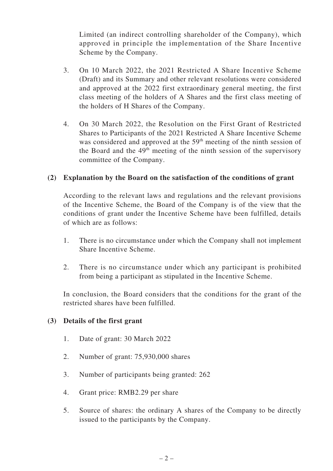Limited (an indirect controlling shareholder of the Company), which approved in principle the implementation of the Share Incentive Scheme by the Company.

- 3. On 10 March 2022, the 2021 Restricted A Share Incentive Scheme (Draft) and its Summary and other relevant resolutions were considered and approved at the 2022 first extraordinary general meeting, the first class meeting of the holders of A Shares and the first class meeting of the holders of H Shares of the Company.
- 4. On 30 March 2022, the Resolution on the First Grant of Restricted Shares to Participants of the 2021 Restricted A Share Incentive Scheme was considered and approved at the 59<sup>th</sup> meeting of the ninth session of the Board and the  $49<sup>th</sup>$  meeting of the ninth session of the supervisory committee of the Company.

### **(2) Explanation by the Board on the satisfaction of the conditions of grant**

According to the relevant laws and regulations and the relevant provisions of the Incentive Scheme, the Board of the Company is of the view that the conditions of grant under the Incentive Scheme have been fulfilled, details of which are as follows:

- 1. There is no circumstance under which the Company shall not implement Share Incentive Scheme.
- 2. There is no circumstance under which any participant is prohibited from being a participant as stipulated in the Incentive Scheme.

In conclusion, the Board considers that the conditions for the grant of the restricted shares have been fulfilled.

#### **(3) Details of the first grant**

- 1. Date of grant: 30 March 2022
- 2. Number of grant: 75,930,000 shares
- 3. Number of participants being granted: 262
- 4. Grant price: RMB2.29 per share
- 5. Source of shares: the ordinary A shares of the Company to be directly issued to the participants by the Company.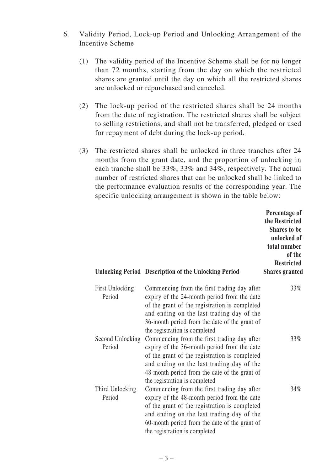- 6. Validity Period, Lock-up Period and Unlocking Arrangement of the Incentive Scheme
	- (1) The validity period of the Incentive Scheme shall be for no longer than 72 months, starting from the day on which the restricted shares are granted until the day on which all the restricted shares are unlocked or repurchased and canceled.
	- (2) The lock-up period of the restricted shares shall be 24 months from the date of registration. The restricted shares shall be subject to selling restrictions, and shall not be transferred, pledged or used for repayment of debt during the lock-up period.
	- (3) The restricted shares shall be unlocked in three tranches after 24 months from the grant date, and the proportion of unlocking in each tranche shall be 33%, 33% and 34%, respectively. The actual number of restricted shares that can be unlocked shall be linked to the performance evaluation results of the corresponding year. The specific unlocking arrangement is shown in the table below:

|                                  | <b>Unlocking Period Description of the Unlocking Period</b>                                                                                                                                                                                                                | Percentage of<br>the Restricted<br><b>Shares to be</b><br>unlocked of<br>total number<br>of the<br><b>Restricted</b><br><b>Shares granted</b> |
|----------------------------------|----------------------------------------------------------------------------------------------------------------------------------------------------------------------------------------------------------------------------------------------------------------------------|-----------------------------------------------------------------------------------------------------------------------------------------------|
| <b>First Unlocking</b><br>Period | Commencing from the first trading day after<br>expiry of the 24-month period from the date<br>of the grant of the registration is completed<br>and ending on the last trading day of the<br>36-month period from the date of the grant of<br>the registration is completed | 33%                                                                                                                                           |
| Second Unlocking<br>Period       | Commencing from the first trading day after<br>expiry of the 36-month period from the date<br>of the grant of the registration is completed<br>and ending on the last trading day of the<br>48-month period from the date of the grant of<br>the registration is completed | 33%                                                                                                                                           |
| Third Unlocking<br>Period        | Commencing from the first trading day after<br>expiry of the 48-month period from the date<br>of the grant of the registration is completed<br>and ending on the last trading day of the<br>60-month period from the date of the grant of<br>the registration is completed | $34\%$                                                                                                                                        |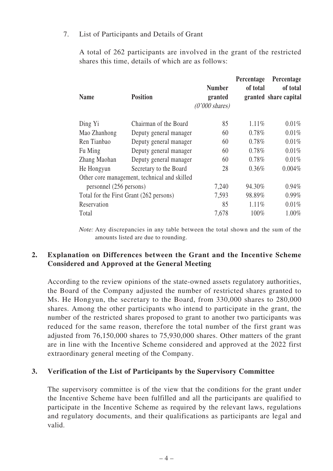#### 7. List of Participants and Details of Grant

A total of 262 participants are involved in the grant of the restricted shares this time, details of which are as follows:

| <b>Name</b>                             | <b>Position</b>                              | <b>Number</b><br>granted<br>$(0'000 \text{ shares})$ | Percentage<br>of total | Percentage<br>of total<br>granted share capital |
|-----------------------------------------|----------------------------------------------|------------------------------------------------------|------------------------|-------------------------------------------------|
| Ding Yi                                 | Chairman of the Board                        | 85                                                   | 1.11%                  | $0.01\%$                                        |
| Mao Zhanhong                            | Deputy general manager                       | 60                                                   | 0.78%                  | 0.01%                                           |
| Ren Tianbao                             | Deputy general manager                       | 60                                                   | 0.78%                  | $0.01\%$                                        |
| Fu Ming                                 | Deputy general manager                       | 60                                                   | 0.78%                  | 0.01%                                           |
| Zhang Maohan                            | Deputy general manager                       | 60                                                   | 0.78%                  | 0.01%                                           |
| He Hongyun                              | Secretary to the Board                       | 28                                                   | $0.36\%$               | $0.004\%$                                       |
|                                         | Other core management, technical and skilled |                                                      |                        |                                                 |
| personnel (256 persons)                 |                                              | 7,240                                                | 94.30%                 | $0.94\%$                                        |
| Total for the First Grant (262 persons) |                                              | 7,593                                                | 98.89%                 | $0.99\%$                                        |
| Reservation                             |                                              | 85                                                   | 1.11%                  | 0.01%                                           |
| Total                                   |                                              | 7,678                                                | 100%                   | 1.00%                                           |

Note: Any discrepancies in any table between the total shown and the sum of the amounts listed are due to rounding.

## **2. Explanation on Differences between the Grant and the Incentive Scheme Considered and Approved at the General Meeting**

According to the review opinions of the state-owned assets regulatory authorities, the Board of the Company adjusted the number of restricted shares granted to Ms. He Hongyun, the secretary to the Board, from 330,000 shares to 280,000 shares. Among the other participants who intend to participate in the grant, the number of the restricted shares proposed to grant to another two participants was reduced for the same reason, therefore the total number of the first grant was adjusted from 76,150,000 shares to 75,930,000 shares. Other matters of the grant are in line with the Incentive Scheme considered and approved at the 2022 first extraordinary general meeting of the Company.

#### **3. Verification of the List of Participants by the Supervisory Committee**

The supervisory committee is of the view that the conditions for the grant under the Incentive Scheme have been fulfilled and all the participants are qualified to participate in the Incentive Scheme as required by the relevant laws, regulations and regulatory documents, and their qualifications as participants are legal and valid.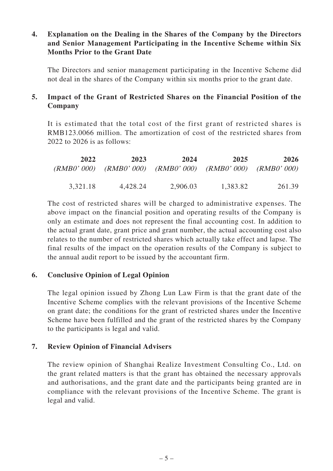## **4. Explanation on the Dealing in the Shares of the Company by the Directors and Senior Management Participating in the Incentive Scheme within Six Months Prior to the Grant Date**

The Directors and senior management participating in the Incentive Scheme did not deal in the shares of the Company within six months prior to the grant date.

## **5. Impact of the Grant of Restricted Shares on the Financial Position of the Company**

It is estimated that the total cost of the first grant of restricted shares is RMB123.0066 million. The amortization of cost of the restricted shares from 2022 to 2026 is as follows:

| 2022     | 2023                                                        | 2024     | 2025     | 2026   |
|----------|-------------------------------------------------------------|----------|----------|--------|
|          | (RMB0' 000) (RMB0' 000) (RMB0' 000) (RMB0' 000) (RMB0' 000) |          |          |        |
|          |                                                             |          |          |        |
| 3,321.18 | 4,428.24                                                    | 2,906.03 | 1,383.82 | 261.39 |

The cost of restricted shares will be charged to administrative expenses. The above impact on the financial position and operating results of the Company is only an estimate and does not represent the final accounting cost. In addition to the actual grant date, grant price and grant number, the actual accounting cost also relates to the number of restricted shares which actually take effect and lapse. The final results of the impact on the operation results of the Company is subject to the annual audit report to be issued by the accountant firm.

#### **6. Conclusive Opinion of Legal Opinion**

The legal opinion issued by Zhong Lun Law Firm is that the grant date of the Incentive Scheme complies with the relevant provisions of the Incentive Scheme on grant date; the conditions for the grant of restricted shares under the Incentive Scheme have been fulfilled and the grant of the restricted shares by the Company to the participants is legal and valid.

## **7. Review Opinion of Financial Advisers**

The review opinion of Shanghai Realize Investment Consulting Co., Ltd. on the grant related matters is that the grant has obtained the necessary approvals and authorisations, and the grant date and the participants being granted are in compliance with the relevant provisions of the Incentive Scheme. The grant is legal and valid.